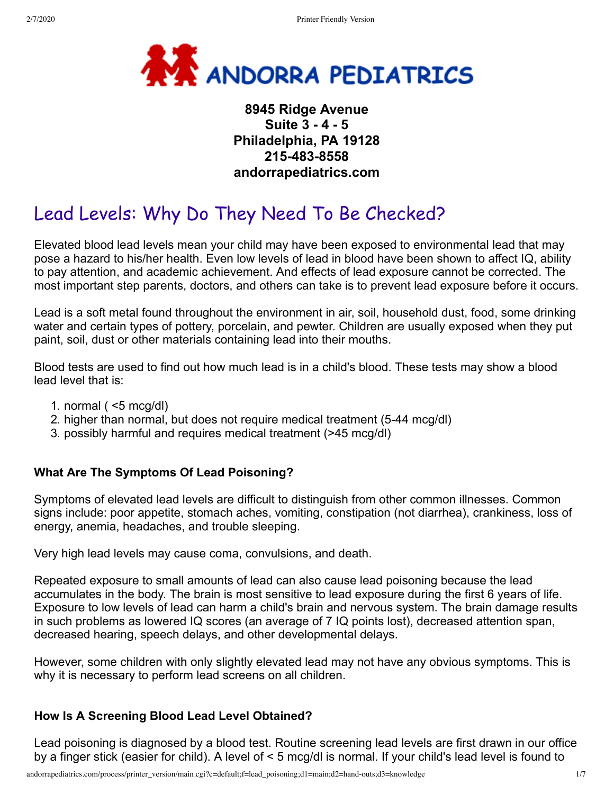

# **8945 Ridge Avenue Suite 3 - 4 - 5 Philadelphia, PA 19128 215-483-8558 andorrapediatrics.com**

# Lead Levels: Why Do They Need To Be Checked?

Elevated blood lead levels mean your child may have been exposed to environmental lead that may pose a hazard to his/her health. Even low levels of lead in blood have been shown to affect IQ, ability to pay attention, and academic achievement. And effects of lead exposure cannot be corrected. The most important step parents, doctors, and others can take is to prevent lead exposure before it occurs.

Lead is a soft metal found throughout the environment in air, soil, household dust, food, some drinking water and certain types of pottery, porcelain, and pewter. Children are usually exposed when they put paint, soil, dust or other materials containing lead into their mouths.

Blood tests are used to find out how much lead is in a child's blood. These tests may show a blood lead level that is:

- 1. normal  $($  <5 mcg/dl)
- 2. higher than normal, but does not require medical treatment (5-44 mcg/dl)
- 3. possibly harmful and requires medical treatment (>45 mcg/dl)

#### **What Are The Symptoms Of Lead Poisoning?**

Symptoms of elevated lead levels are difficult to distinguish from other common illnesses. Common signs include: poor appetite, stomach aches, vomiting, constipation (not diarrhea), crankiness, loss of energy, anemia, headaches, and trouble sleeping.

Very high lead levels may cause coma, convulsions, and death.

Repeated exposure to small amounts of lead can also cause lead poisoning because the lead accumulates in the body. The brain is most sensitive to lead exposure during the first 6 years of life. Exposure to low levels of lead can harm a child's brain and nervous system. The brain damage results in such problems as lowered IQ scores (an average of 7 IQ points lost), decreased attention span, decreased hearing, speech delays, and other developmental delays.

However, some children with only slightly elevated lead may not have any obvious symptoms. This is why it is necessary to perform lead screens on all children.

#### **How Is A Screening Blood Lead Level Obtained?**

Lead poisoning is diagnosed by a blood test. Routine screening lead levels are first drawn in our office by a finger stick (easier for child). A level of < 5 mcg/dl is normal. If your child's lead level is found to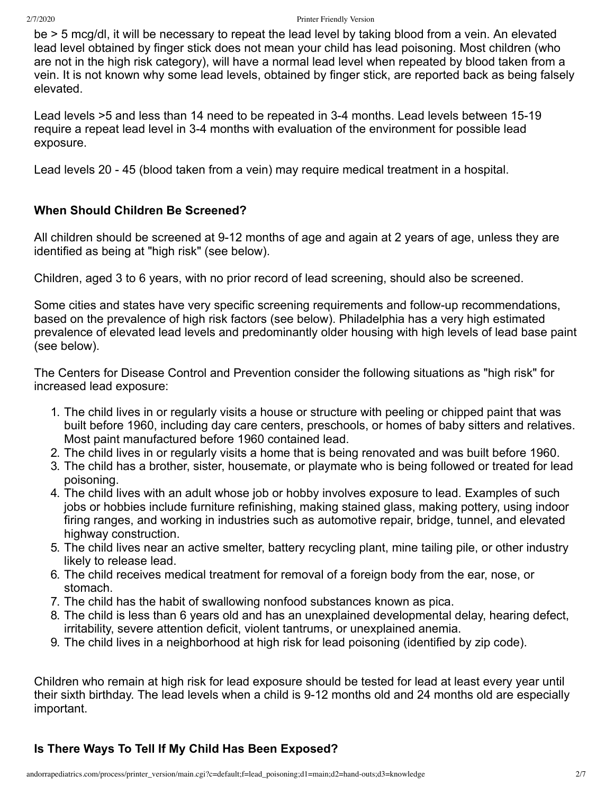be > 5 mcg/dl, it will be necessary to repeat the lead level by taking blood from a vein. An elevated lead level obtained by finger stick does not mean your child has lead poisoning. Most children (who are not in the high risk category), will have a normal lead level when repeated by blood taken from a vein. It is not known why some lead levels, obtained by finger stick, are reported back as being falsely elevated.

Lead levels >5 and less than 14 need to be repeated in 3-4 months. Lead levels between 15-19 require a repeat lead level in 3-4 months with evaluation of the environment for possible lead exposure.

Lead levels 20 - 45 (blood taken from a vein) may require medical treatment in a hospital.

#### **When Should Children Be Screened?**

All children should be screened at 9-12 months of age and again at 2 years of age, unless they are identified as being at "high risk" (see below).

Children, aged 3 to 6 years, with no prior record of lead screening, should also be screened.

Some cities and states have very specific screening requirements and follow-up recommendations, based on the prevalence of high risk factors (see below). Philadelphia has a very high estimated prevalence of elevated lead levels and predominantly older housing with high levels of lead base paint (see below).

The Centers for Disease Control and Prevention consider the following situations as "high risk" for increased lead exposure:

- 1. The child lives in or regularly visits a house or structure with peeling or chipped paint that was built before 1960, including day care centers, preschools, or homes of baby sitters and relatives. Most paint manufactured before 1960 contained lead.
- 2. The child lives in or regularly visits a home that is being renovated and was built before 1960.
- 3. The child has a brother, sister, housemate, or playmate who is being followed or treated for lead poisoning.
- 4. The child lives with an adult whose job or hobby involves exposure to lead. Examples of such jobs or hobbies include furniture refinishing, making stained glass, making pottery, using indoor firing ranges, and working in industries such as automotive repair, bridge, tunnel, and elevated highway construction.
- 5. The child lives near an active smelter, battery recycling plant, mine tailing pile, or other industry likely to release lead.
- 6. The child receives medical treatment for removal of a foreign body from the ear, nose, or stomach.
- 7. The child has the habit of swallowing nonfood substances known as pica.
- 8. The child is less than 6 years old and has an unexplained developmental delay, hearing defect, irritability, severe attention deficit, violent tantrums, or unexplained anemia.
- 9. The child lives in a neighborhood at high risk for lead poisoning (identified by zip code).

Children who remain at high risk for lead exposure should be tested for lead at least every year until their sixth birthday. The lead levels when a child is 9-12 months old and 24 months old are especially important.

### **Is There Ways To Tell If My Child Has Been Exposed?**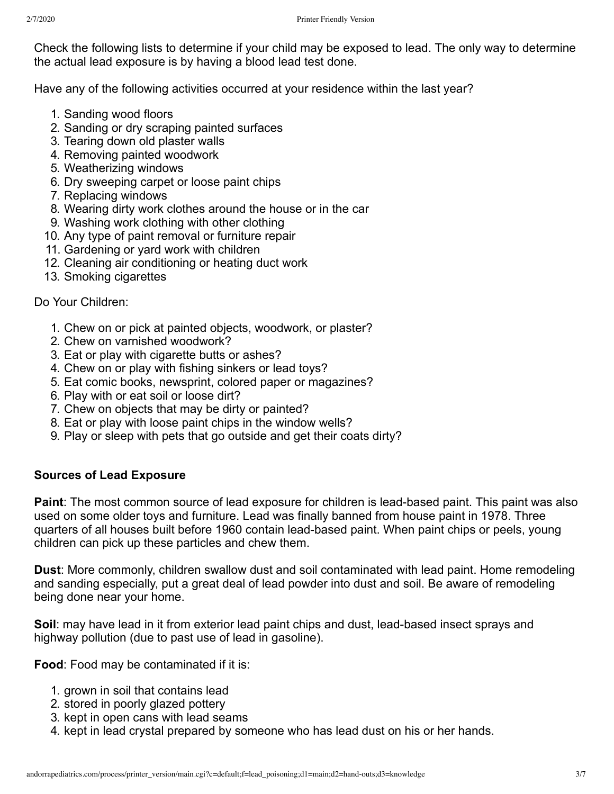Check the following lists to determine if your child may be exposed to lead. The only way to determine the actual lead exposure is by having a blood lead test done.

Have any of the following activities occurred at your residence within the last year?

- 1. Sanding wood floors
- 2. Sanding or dry scraping painted surfaces
- 3. Tearing down old plaster walls
- 4. Removing painted woodwork
- 5. Weatherizing windows
- 6. Dry sweeping carpet or loose paint chips
- 7. Replacing windows
- 8. Wearing dirty work clothes around the house or in the car
- 9. Washing work clothing with other clothing
- 10. Any type of paint removal or furniture repair
- 11. Gardening or yard work with children
- 12. Cleaning air conditioning or heating duct work
- 13. Smoking cigarettes

#### Do Your Children:

- 1. Chew on or pick at painted objects, woodwork, or plaster?
- 2. Chew on varnished woodwork?
- 3. Eat or play with cigarette butts or ashes?
- 4. Chew on or play with fishing sinkers or lead toys?
- 5. Eat comic books, newsprint, colored paper or magazines?
- 6. Play with or eat soil or loose dirt?
- 7. Chew on objects that may be dirty or painted?
- 8. Eat or play with loose paint chips in the window wells?
- 9. Play or sleep with pets that go outside and get their coats dirty?

### **Sources of Lead Exposure**

**Paint**: The most common source of lead exposure for children is lead-based paint. This paint was also used on some older toys and furniture. Lead was finally banned from house paint in 1978. Three quarters of all houses built before 1960 contain lead-based paint. When paint chips or peels, young children can pick up these particles and chew them.

**Dust**: More commonly, children swallow dust and soil contaminated with lead paint. Home remodeling and sanding especially, put a great deal of lead powder into dust and soil. Be aware of remodeling being done near your home.

**Soil**: may have lead in it from exterior lead paint chips and dust, lead-based insect sprays and highway pollution (due to past use of lead in gasoline).

**Food**: Food may be contaminated if it is:

- 1. grown in soil that contains lead
- 2. stored in poorly glazed pottery
- 3. kept in open cans with lead seams
- 4. kept in lead crystal prepared by someone who has lead dust on his or her hands.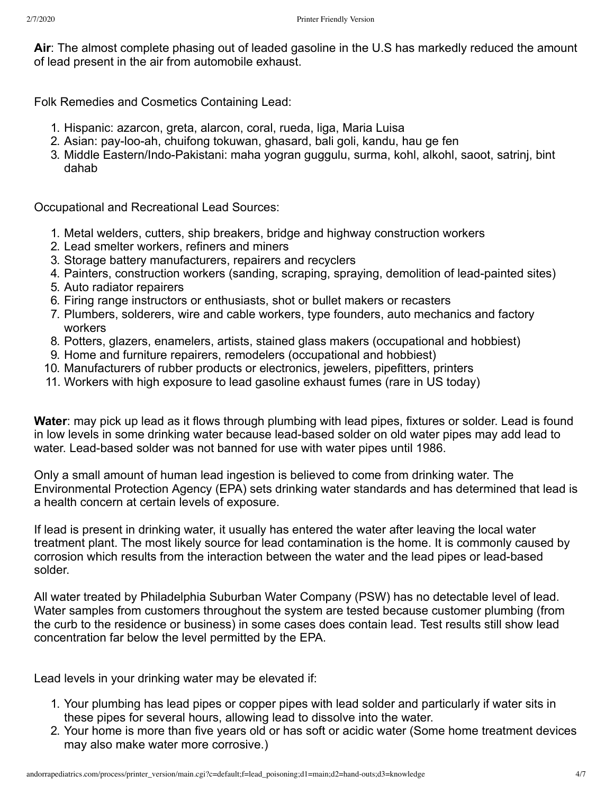**Air**: The almost complete phasing out of leaded gasoline in the U.S has markedly reduced the amount of lead present in the air from automobile exhaust.

Folk Remedies and Cosmetics Containing Lead:

- 1. Hispanic: azarcon, greta, alarcon, coral, rueda, liga, Maria Luisa
- 2. Asian: pay-loo-ah, chuifong tokuwan, ghasard, bali goli, kandu, hau ge fen
- 3. Middle Eastern/Indo-Pakistani: maha yogran guggulu, surma, kohl, alkohl, saoot, satrinj, bint dahab

Occupational and Recreational Lead Sources:

- 1. Metal welders, cutters, ship breakers, bridge and highway construction workers
- 2. Lead smelter workers, refiners and miners
- 3. Storage battery manufacturers, repairers and recyclers
- 4. Painters, construction workers (sanding, scraping, spraying, demolition of lead-painted sites)
- 5. Auto radiator repairers
- 6. Firing range instructors or enthusiasts, shot or bullet makers or recasters
- 7. Plumbers, solderers, wire and cable workers, type founders, auto mechanics and factory workers
- 8. Potters, glazers, enamelers, artists, stained glass makers (occupational and hobbiest)
- 9. Home and furniture repairers, remodelers (occupational and hobbiest)
- 10. Manufacturers of rubber products or electronics, jewelers, pipefitters, printers
- 11. Workers with high exposure to lead gasoline exhaust fumes (rare in US today)

**Water**: may pick up lead as it flows through plumbing with lead pipes, fixtures or solder. Lead is found in low levels in some drinking water because lead-based solder on old water pipes may add lead to water. Lead-based solder was not banned for use with water pipes until 1986.

Only a small amount of human lead ingestion is believed to come from drinking water. The Environmental Protection Agency (EPA) sets drinking water standards and has determined that lead is a health concern at certain levels of exposure.

If lead is present in drinking water, it usually has entered the water after leaving the local water treatment plant. The most likely source for lead contamination is the home. It is commonly caused by corrosion which results from the interaction between the water and the lead pipes or lead-based solder.

All water treated by Philadelphia Suburban Water Company (PSW) has no detectable level of lead. Water samples from customers throughout the system are tested because customer plumbing (from the curb to the residence or business) in some cases does contain lead. Test results still show lead concentration far below the level permitted by the EPA.

Lead levels in your drinking water may be elevated if:

- 1. Your plumbing has lead pipes or copper pipes with lead solder and particularly if water sits in these pipes for several hours, allowing lead to dissolve into the water.
- 2. Your home is more than five years old or has soft or acidic water (Some home treatment devices may also make water more corrosive.)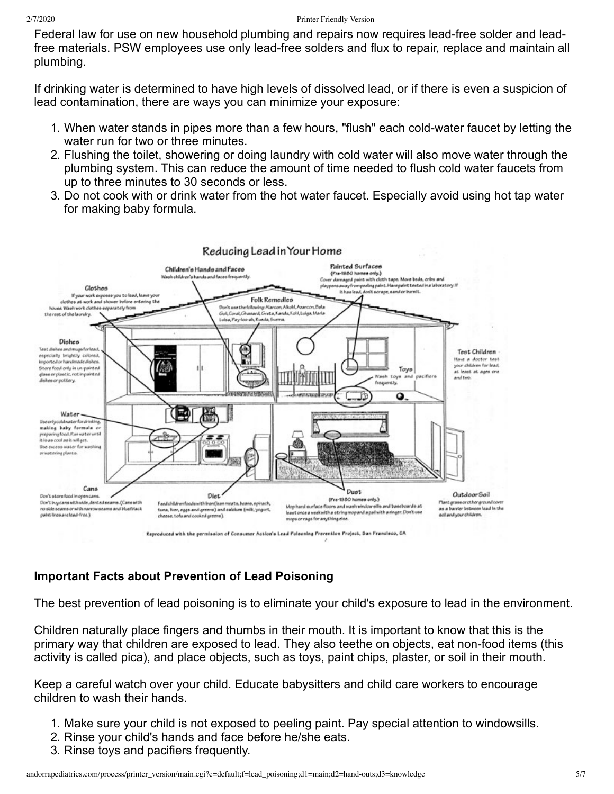Federal law for use on new household plumbing and repairs now requires lead-free solder and leadfree materials. PSW employees use only lead-free solders and flux to repair, replace and maintain all plumbing.

If drinking water is determined to have high levels of dissolved lead, or if there is even a suspicion of lead contamination, there are ways you can minimize your exposure:

- 1. When water stands in pipes more than a few hours, "flush" each cold-water faucet by letting the water run for two or three minutes.
- 2. Flushing the toilet, showering or doing laundry with cold water will also move water through the plumbing system. This can reduce the amount of time needed to flush cold water faucets from up to three minutes to 30 seconds or less.
- 3. Do not cook with or drink water from the hot water faucet. Especially avoid using hot tap water for making baby formula.



### **Important Facts about Prevention of Lead Poisoning**

The best prevention of lead poisoning is to eliminate your child's exposure to lead in the environment.

Children naturally place fingers and thumbs in their mouth. It is important to know that this is the primary way that children are exposed to lead. They also teethe on objects, eat non-food items (this activity is called pica), and place objects, such as toys, paint chips, plaster, or soil in their mouth.

Keep a careful watch over your child. Educate babysitters and child care workers to encourage children to wash their hands.

- 1. Make sure your child is not exposed to peeling paint. Pay special attention to windowsills.
- 2. Rinse your child's hands and face before he/she eats.
- 3. Rinse toys and pacifiers frequently.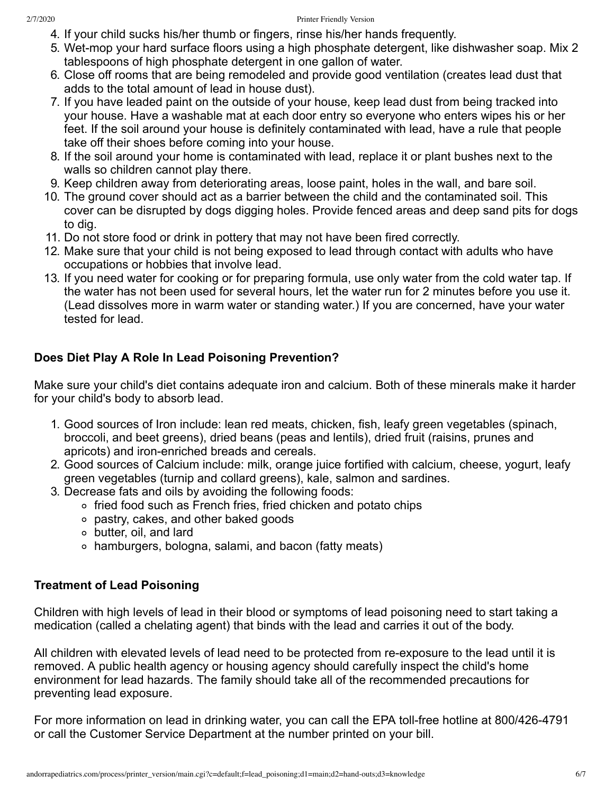- 4. If your child sucks his/her thumb or fingers, rinse his/her hands frequently.
- 5. Wet-mop your hard surface floors using a high phosphate detergent, like dishwasher soap. Mix 2 tablespoons of high phosphate detergent in one gallon of water.
- 6. Close off rooms that are being remodeled and provide good ventilation (creates lead dust that adds to the total amount of lead in house dust).
- 7. If you have leaded paint on the outside of your house, keep lead dust from being tracked into your house. Have a washable mat at each door entry so everyone who enters wipes his or her feet. If the soil around your house is definitely contaminated with lead, have a rule that people take off their shoes before coming into your house.
- 8. If the soil around your home is contaminated with lead, replace it or plant bushes next to the walls so children cannot play there.
- 9. Keep children away from deteriorating areas, loose paint, holes in the wall, and bare soil.
- 10. The ground cover should act as a barrier between the child and the contaminated soil. This cover can be disrupted by dogs digging holes. Provide fenced areas and deep sand pits for dogs to dig.
- 11. Do not store food or drink in pottery that may not have been fired correctly.
- 12. Make sure that your child is not being exposed to lead through contact with adults who have occupations or hobbies that involve lead.
- 13. If you need water for cooking or for preparing formula, use only water from the cold water tap. If the water has not been used for several hours, let the water run for 2 minutes before you use it. (Lead dissolves more in warm water or standing water.) If you are concerned, have your water tested for lead.

## **Does Diet Play A Role In Lead Poisoning Prevention?**

Make sure your child's diet contains adequate iron and calcium. Both of these minerals make it harder for your child's body to absorb lead.

- 1. Good sources of Iron include: lean red meats, chicken, fish, leafy green vegetables (spinach, broccoli, and beet greens), dried beans (peas and lentils), dried fruit (raisins, prunes and apricots) and iron-enriched breads and cereals.
- 2. Good sources of Calcium include: milk, orange juice fortified with calcium, cheese, yogurt, leafy green vegetables (turnip and collard greens), kale, salmon and sardines.
- 3. Decrease fats and oils by avoiding the following foods:
	- ∘ fried food such as French fries, fried chicken and potato chips
	- pastry, cakes, and other baked goods
	- butter, oil, and lard
	- hamburgers, bologna, salami, and bacon (fatty meats)

### **Treatment of Lead Poisoning**

Children with high levels of lead in their blood or symptoms of lead poisoning need to start taking a medication (called a chelating agent) that binds with the lead and carries it out of the body.

All children with elevated levels of lead need to be protected from re-exposure to the lead until it is removed. A public health agency or housing agency should carefully inspect the child's home environment for lead hazards. The family should take all of the recommended precautions for preventing lead exposure.

For more information on lead in drinking water, you can call the EPA toll-free hotline at 800/426-4791 or call the Customer Service Department at the number printed on your bill.